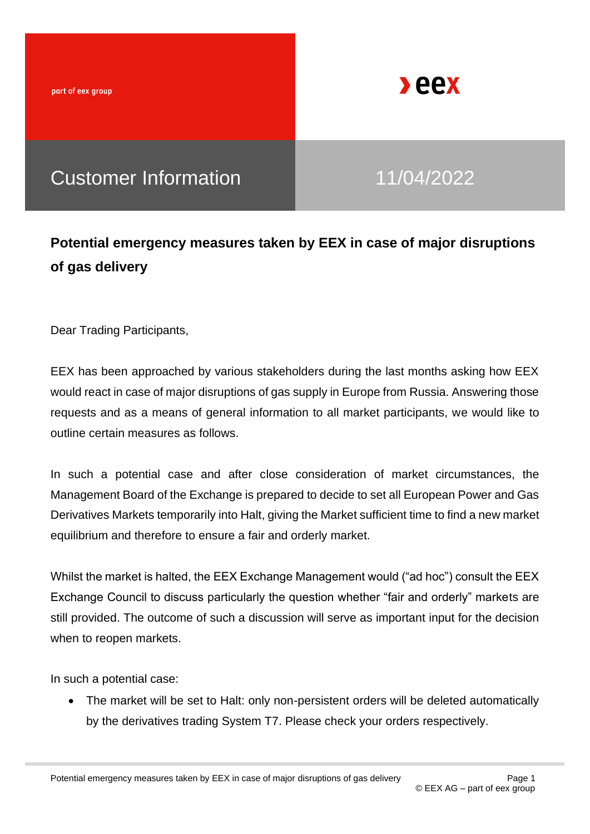part of eex group



# Customer Information 11/04/2022

## **Potential emergency measures taken by EEX in case of major disruptions of gas delivery**

Dear Trading Participants,

EEX has been approached by various stakeholders during the last months asking how EEX would react in case of major disruptions of gas supply in Europe from Russia. Answering those requests and as a means of general information to all market participants, we would like to outline certain measures as follows.

In such a potential case and after close consideration of market circumstances, the Management Board of the Exchange is prepared to decide to set all European Power and Gas Derivatives Markets temporarily into Halt, giving the Market sufficient time to find a new market equilibrium and therefore to ensure a fair and orderly market.

Whilst the market is halted, the EEX Exchange Management would ("ad hoc") consult the EEX Exchange Council to discuss particularly the question whether "fair and orderly" markets are still provided. The outcome of such a discussion will serve as important input for the decision when to reopen markets.

In such a potential case:

• The market will be set to Halt: only non-persistent orders will be deleted automatically by the derivatives trading System T7. Please check your orders respectively.